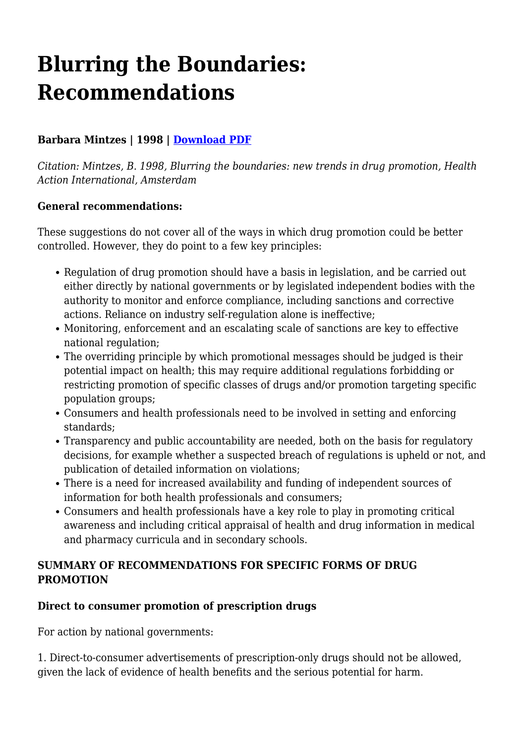# **Blurring the Boundaries: Recommendations**

# **Barbara Mintzes | 1998 | [Download PDF](https://haiweb.org/wp-content/uploads/2020/10/Blurring-the-Boundaries-Recommendations.pdf)**

*Citation: Mintzes, B. 1998, Blurring the boundaries: new trends in drug promotion, Health Action International, Amsterdam*

#### **General recommendations:**

These suggestions do not cover all of the ways in which drug promotion could be better controlled. However, they do point to a few key principles:

- Regulation of drug promotion should have a basis in legislation, and be carried out either directly by national governments or by legislated independent bodies with the authority to monitor and enforce compliance, including sanctions and corrective actions. Reliance on industry self-regulation alone is ineffective;
- Monitoring, enforcement and an escalating scale of sanctions are key to effective national regulation;
- The overriding principle by which promotional messages should be judged is their potential impact on health; this may require additional regulations forbidding or restricting promotion of specific classes of drugs and/or promotion targeting specific population groups;
- Consumers and health professionals need to be involved in setting and enforcing standards;
- Transparency and public accountability are needed, both on the basis for regulatory decisions, for example whether a suspected breach of regulations is upheld or not, and publication of detailed information on violations;
- There is a need for increased availability and funding of independent sources of information for both health professionals and consumers;
- Consumers and health professionals have a key role to play in promoting critical awareness and including critical appraisal of health and drug information in medical and pharmacy curricula and in secondary schools.

## **SUMMARY OF RECOMMENDATIONS FOR SPECIFIC FORMS OF DRUG PROMOTION**

# **Direct to consumer promotion of prescription drugs**

For action by national governments:

1. Direct-to-consumer advertisements of prescription-only drugs should not be allowed, given the lack of evidence of health benefits and the serious potential for harm.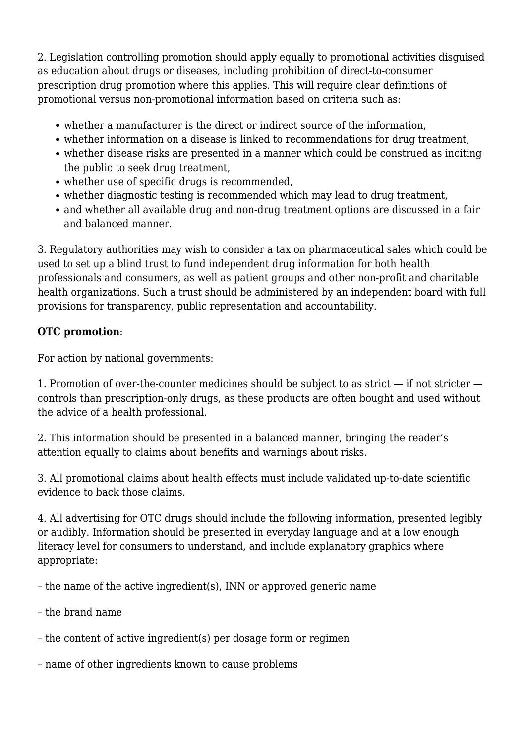2. Legislation controlling promotion should apply equally to promotional activities disguised as education about drugs or diseases, including prohibition of direct-to-consumer prescription drug promotion where this applies. This will require clear definitions of promotional versus non-promotional information based on criteria such as:

- whether a manufacturer is the direct or indirect source of the information,
- whether information on a disease is linked to recommendations for drug treatment,
- whether disease risks are presented in a manner which could be construed as inciting the public to seek drug treatment,
- whether use of specific drugs is recommended,
- whether diagnostic testing is recommended which may lead to drug treatment,
- and whether all available drug and non-drug treatment options are discussed in a fair and balanced manner.

3. Regulatory authorities may wish to consider a tax on pharmaceutical sales which could be used to set up a blind trust to fund independent drug information for both health professionals and consumers, as well as patient groups and other non-profit and charitable health organizations. Such a trust should be administered by an independent board with full provisions for transparency, public representation and accountability.

## **OTC promotion**:

For action by national governments:

1. Promotion of over-the-counter medicines should be subject to as strict — if not stricter controls than prescription-only drugs, as these products are often bought and used without the advice of a health professional.

2. This information should be presented in a balanced manner, bringing the reader's attention equally to claims about benefits and warnings about risks.

3. All promotional claims about health effects must include validated up-to-date scientific evidence to back those claims.

4. All advertising for OTC drugs should include the following information, presented legibly or audibly. Information should be presented in everyday language and at a low enough literacy level for consumers to understand, and include explanatory graphics where appropriate:

– the name of the active ingredient(s), INN or approved generic name

- the brand name
- the content of active ingredient(s) per dosage form or regimen
- name of other ingredients known to cause problems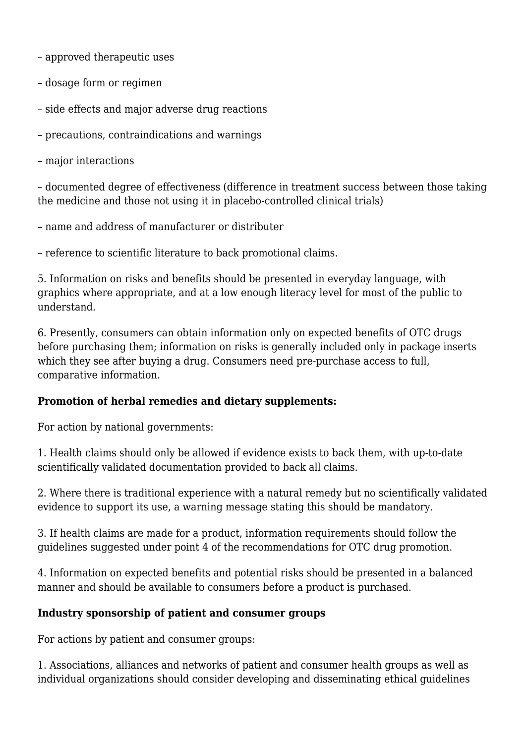– approved therapeutic uses

- dosage form or regimen
- side effects and major adverse drug reactions
- precautions, contraindications and warnings
- major interactions

– documented degree of effectiveness (difference in treatment success between those taking the medicine and those not using it in placebo-controlled clinical trials)

– name and address of manufacturer or distributer

– reference to scientific literature to back promotional claims.

5. Information on risks and benefits should be presented in everyday language, with graphics where appropriate, and at a low enough literacy level for most of the public to understand.

6. Presently, consumers can obtain information only on expected benefits of OTC drugs before purchasing them; information on risks is generally included only in package inserts which they see after buying a drug. Consumers need pre-purchase access to full, comparative information.

#### **Promotion of herbal remedies and dietary supplements:**

For action by national governments:

1. Health claims should only be allowed if evidence exists to back them, with up-to-date scientifically validated documentation provided to back all claims.

2. Where there is traditional experience with a natural remedy but no scientifically validated evidence to support its use, a warning message stating this should be mandatory.

3. If health claims are made for a product, information requirements should follow the guidelines suggested under point 4 of the recommendations for OTC drug promotion.

4. Information on expected benefits and potential risks should be presented in a balanced manner and should be available to consumers before a product is purchased.

#### **Industry sponsorship of patient and consumer groups**

For actions by patient and consumer groups:

1. Associations, alliances and networks of patient and consumer health groups as well as individual organizations should consider developing and disseminating ethical guidelines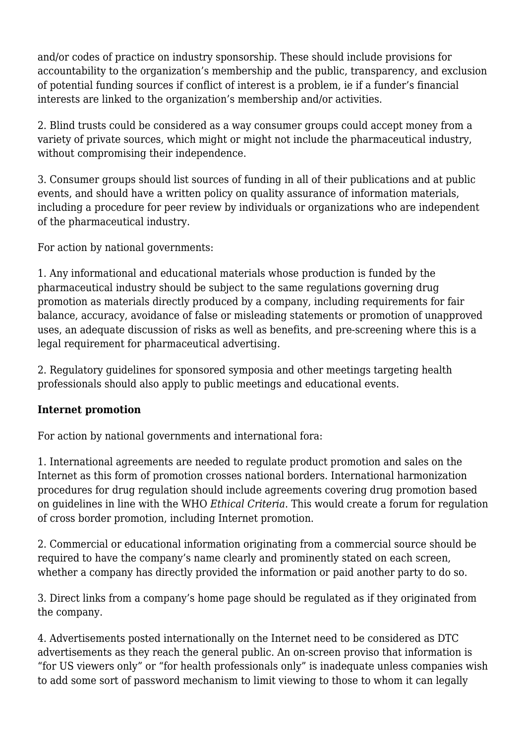and/or codes of practice on industry sponsorship. These should include provisions for accountability to the organization's membership and the public, transparency, and exclusion of potential funding sources if conflict of interest is a problem, ie if a funder's financial interests are linked to the organization's membership and/or activities.

2. Blind trusts could be considered as a way consumer groups could accept money from a variety of private sources, which might or might not include the pharmaceutical industry, without compromising their independence.

3. Consumer groups should list sources of funding in all of their publications and at public events, and should have a written policy on quality assurance of information materials, including a procedure for peer review by individuals or organizations who are independent of the pharmaceutical industry.

For action by national governments:

1. Any informational and educational materials whose production is funded by the pharmaceutical industry should be subject to the same regulations governing drug promotion as materials directly produced by a company, including requirements for fair balance, accuracy, avoidance of false or misleading statements or promotion of unapproved uses, an adequate discussion of risks as well as benefits, and pre-screening where this is a legal requirement for pharmaceutical advertising.

2. Regulatory guidelines for sponsored symposia and other meetings targeting health professionals should also apply to public meetings and educational events.

# **Internet promotion**

For action by national governments and international fora:

1. International agreements are needed to regulate product promotion and sales on the Internet as this form of promotion crosses national borders. International harmonization procedures for drug regulation should include agreements covering drug promotion based on guidelines in line with the WHO *Ethical Criteria*. This would create a forum for regulation of cross border promotion, including Internet promotion.

2. Commercial or educational information originating from a commercial source should be required to have the company's name clearly and prominently stated on each screen, whether a company has directly provided the information or paid another party to do so.

3. Direct links from a company's home page should be regulated as if they originated from the company.

4. Advertisements posted internationally on the Internet need to be considered as DTC advertisements as they reach the general public. An on-screen proviso that information is "for US viewers only" or "for health professionals only" is inadequate unless companies wish to add some sort of password mechanism to limit viewing to those to whom it can legally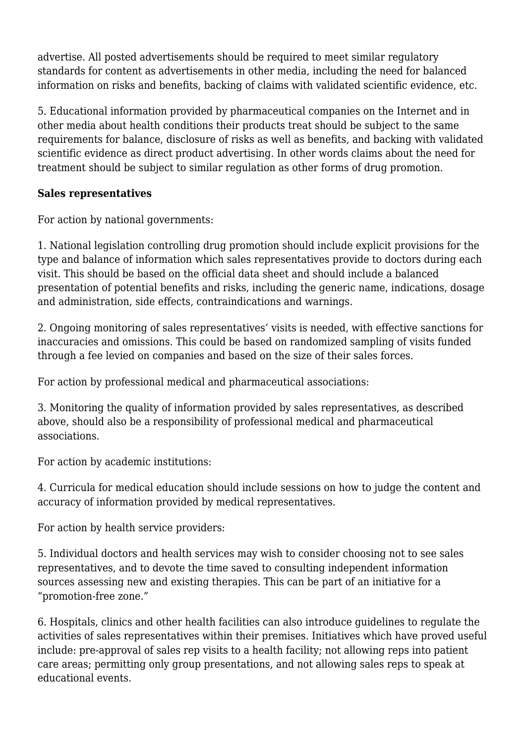advertise. All posted advertisements should be required to meet similar regulatory standards for content as advertisements in other media, including the need for balanced information on risks and benefits, backing of claims with validated scientific evidence, etc.

5. Educational information provided by pharmaceutical companies on the Internet and in other media about health conditions their products treat should be subject to the same requirements for balance, disclosure of risks as well as benefits, and backing with validated scientific evidence as direct product advertising. In other words claims about the need for treatment should be subject to similar regulation as other forms of drug promotion.

## **Sales representatives**

For action by national governments:

1. National legislation controlling drug promotion should include explicit provisions for the type and balance of information which sales representatives provide to doctors during each visit. This should be based on the official data sheet and should include a balanced presentation of potential benefits and risks, including the generic name, indications, dosage and administration, side effects, contraindications and warnings.

2. Ongoing monitoring of sales representatives' visits is needed, with effective sanctions for inaccuracies and omissions. This could be based on randomized sampling of visits funded through a fee levied on companies and based on the size of their sales forces.

For action by professional medical and pharmaceutical associations:

3. Monitoring the quality of information provided by sales representatives, as described above, should also be a responsibility of professional medical and pharmaceutical associations.

For action by academic institutions:

4. Curricula for medical education should include sessions on how to judge the content and accuracy of information provided by medical representatives.

For action by health service providers:

5. Individual doctors and health services may wish to consider choosing not to see sales representatives, and to devote the time saved to consulting independent information sources assessing new and existing therapies. This can be part of an initiative for a "promotion-free zone."

6. Hospitals, clinics and other health facilities can also introduce guidelines to regulate the activities of sales representatives within their premises. Initiatives which have proved useful include: pre-approval of sales rep visits to a health facility; not allowing reps into patient care areas; permitting only group presentations, and not allowing sales reps to speak at educational events.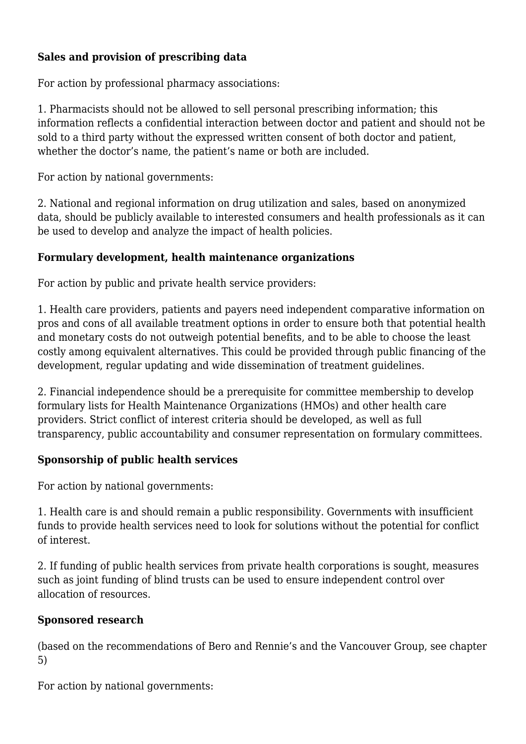# **Sales and provision of prescribing data**

For action by professional pharmacy associations:

1. Pharmacists should not be allowed to sell personal prescribing information; this information reflects a confidential interaction between doctor and patient and should not be sold to a third party without the expressed written consent of both doctor and patient, whether the doctor's name, the patient's name or both are included.

For action by national governments:

2. National and regional information on drug utilization and sales, based on anonymized data, should be publicly available to interested consumers and health professionals as it can be used to develop and analyze the impact of health policies.

## **Formulary development, health maintenance organizations**

For action by public and private health service providers:

1. Health care providers, patients and payers need independent comparative information on pros and cons of all available treatment options in order to ensure both that potential health and monetary costs do not outweigh potential benefits, and to be able to choose the least costly among equivalent alternatives. This could be provided through public financing of the development, regular updating and wide dissemination of treatment guidelines.

2. Financial independence should be a prerequisite for committee membership to develop formulary lists for Health Maintenance Organizations (HMOs) and other health care providers. Strict conflict of interest criteria should be developed, as well as full transparency, public accountability and consumer representation on formulary committees.

# **Sponsorship of public health services**

For action by national governments:

1. Health care is and should remain a public responsibility. Governments with insufficient funds to provide health services need to look for solutions without the potential for conflict of interest.

2. If funding of public health services from private health corporations is sought, measures such as joint funding of blind trusts can be used to ensure independent control over allocation of resources.

#### **Sponsored research**

(based on the recommendations of Bero and Rennie's and the Vancouver Group, see chapter 5)

For action by national governments: